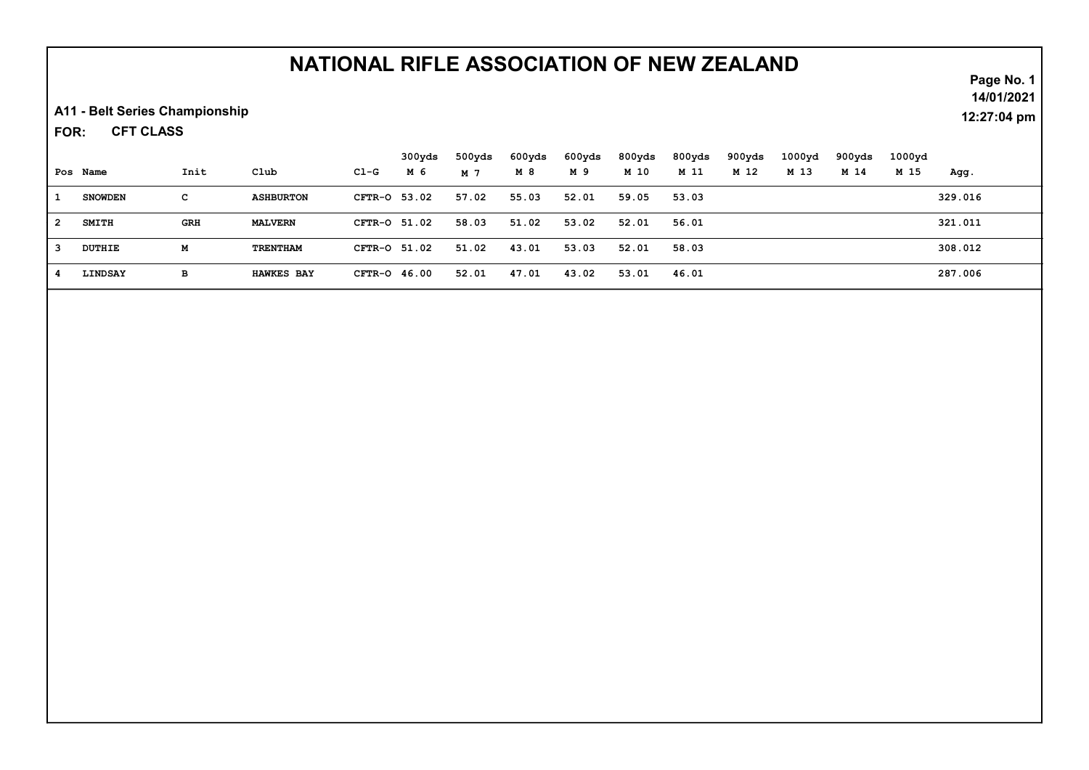## NATIONAL RIFLE ASSOCIATION OF NEW ZEALAND

A11 - Belt Series Championship

CFT CLASS FOR:

|   |                |      |                   |              | 300yds | 500yds | 600yds | 600yds | 800yds | 800yds | 900yds | 1000 <sub>yd</sub> | 900yds | 1000yd |         |
|---|----------------|------|-------------------|--------------|--------|--------|--------|--------|--------|--------|--------|--------------------|--------|--------|---------|
|   | Pos Name       | Init | Club              | Cl-G         | M 6    | M 7    | M 8    | M 9    | M 10   | M 11   | M 12   | M 13               | M 14   | M 15   | Aqq.    |
|   | <b>SNOWDEN</b> | с    | <b>ASHBURTON</b>  | CFTR-0 53.02 |        | 57.02  | 55.03  | 52.01  | 59.05  | 53.03  |        |                    |        |        | 329.016 |
| 2 | <b>SMITH</b>   | GRH  | <b>MALVERN</b>    | CFTR-0 51.02 |        | 58.03  | 51.02  | 53.02  | 52.01  | 56.01  |        |                    |        |        | 321.011 |
|   | DUTHIE         | м    | <b>TRENTHAM</b>   | CFTR-0 51.02 |        | 51.02  | 43.01  | 53.03  | 52.01  | 58.03  |        |                    |        |        | 308.012 |
|   | LINDSAY        | в    | <b>HAWKES BAY</b> | CFTR-0 46.00 |        | 52.01  | 47.01  | 43.02  | 53.01  | 46.01  |        |                    |        |        | 287.006 |

Page No. 1 14/01/2021

12:27:04 pm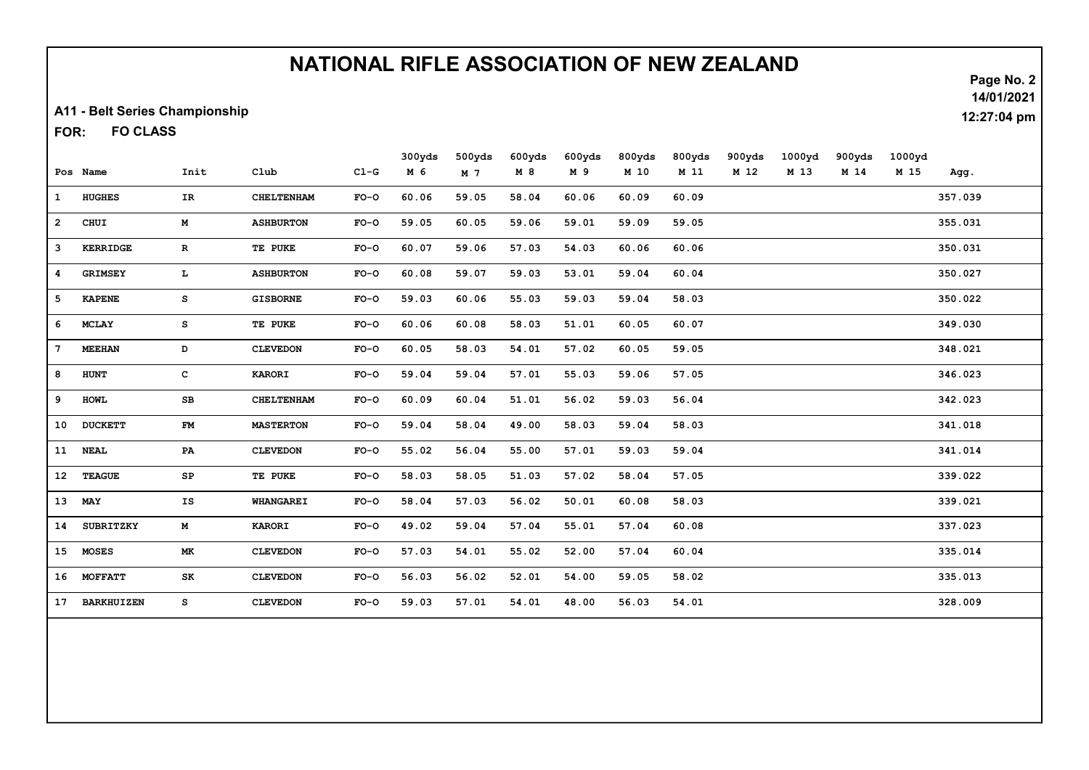## NATIONAL RIFLE ASSOCIATION OF NEW ZEALAND

A11 - Belt Series Championship

FO CLASS FOR:

|                  |                   |               |                   |        | 300yds | 500yds | 600yds | 600yds | 800yds | 800yds | 900yds | 1000yd | 900yds | 1000yd |         |
|------------------|-------------------|---------------|-------------------|--------|--------|--------|--------|--------|--------|--------|--------|--------|--------|--------|---------|
|                  | Pos Name          | Init          | C1ub              | $C1-G$ | M 6    | M 7    | M 8    | M 9    | M 10   | M 11   | M 12   | M 13   | M 14   | M 15   | Agg.    |
| $\mathbf{1}$     | <b>HUGHES</b>     | IR.           | <b>CHELTENHAM</b> | $FO-O$ | 60.06  | 59.05  | 58.04  | 60.06  | 60.09  | 60.09  |        |        |        |        | 357.039 |
| $\overline{2}$   | CHUI              | M             | <b>ASHBURTON</b>  | $FO-O$ | 59.05  | 60.05  | 59.06  | 59.01  | 59.09  | 59.05  |        |        |        |        | 355.031 |
| 3                | <b>KERRIDGE</b>   | $\mathbf{R}$  | TE PUKE           | $FO-O$ | 60.07  | 59.06  | 57.03  | 54.03  | 60.06  | 60.06  |        |        |        |        | 350.031 |
| $\boldsymbol{4}$ | <b>GRIMSEY</b>    | L.            | <b>ASHBURTON</b>  | $FO-O$ | 60.08  | 59.07  | 59.03  | 53.01  | 59.04  | 60.04  |        |        |        |        | 350.027 |
| 5                | <b>KAPENE</b>     | s             | <b>GISBORNE</b>   | $FO-O$ | 59.03  | 60.06  | 55.03  | 59.03  | 59.04  | 58.03  |        |        |        |        | 350.022 |
| 6                | <b>MCLAY</b>      | s             | TE PUKE           | $FO-O$ | 60.06  | 60.08  | 58.03  | 51.01  | 60.05  | 60.07  |        |        |        |        | 349.030 |
| 7 <sup>7</sup>   | <b>MEEHAN</b>     | D             | <b>CLEVEDON</b>   | $FO-O$ | 60.05  | 58.03  | 54.01  | 57.02  | 60.05  | 59.05  |        |        |        |        | 348.021 |
| 8                | <b>HUNT</b>       | $\mathbf{C}$  | <b>KARORI</b>     | $FO-O$ | 59.04  | 59.04  | 57.01  | 55.03  | 59.06  | 57.05  |        |        |        |        | 346.023 |
| 9                | <b>HOWL</b>       | $_{\rm SB}$   | <b>CHELTENHAM</b> | $FO-O$ | 60.09  | 60.04  | 51.01  | 56.02  | 59.03  | 56.04  |        |        |        |        | 342.023 |
| 10 <sub>1</sub>  | <b>DUCKETT</b>    | $\mathbf{FM}$ | <b>MASTERTON</b>  | $FO-O$ | 59.04  | 58.04  | 49.00  | 58.03  | 59.04  | 58.03  |        |        |        |        | 341.018 |
|                  | 11 NEAL           | PA            | <b>CLEVEDON</b>   | $FO-O$ | 55.02  | 56.04  | 55.00  | 57.01  | 59.03  | 59.04  |        |        |        |        | 341.014 |
| 12               | <b>TEAGUE</b>     | SP            | TE PUKE           | $FO-O$ | 58.03  | 58.05  | 51.03  | 57.02  | 58.04  | 57.05  |        |        |        |        | 339.022 |
| 13               | MAY               | IS            | <b>WHANGAREI</b>  | $FO-O$ | 58.04  | 57.03  | 56.02  | 50.01  | 60.08  | 58.03  |        |        |        |        | 339.021 |
| 14               | <b>SUBRITZKY</b>  | $\mathbf M$   | <b>KARORI</b>     | $FO-O$ | 49.02  | 59.04  | 57.04  | 55.01  | 57.04  | 60.08  |        |        |        |        | 337.023 |
|                  | 15 MOSES          | <b>MK</b>     | <b>CLEVEDON</b>   | $FO-O$ | 57.03  | 54.01  | 55.02  | 52.00  | 57.04  | 60.04  |        |        |        |        | 335.014 |
|                  | 16 MOFFATT        | SK            | <b>CLEVEDON</b>   | $FO-O$ | 56.03  | 56.02  | 52.01  | 54.00  | 59.05  | 58.02  |        |        |        |        | 335.013 |
| 17               | <b>BARKHUIZEN</b> | s             | <b>CLEVEDON</b>   | $FO-O$ | 59.03  | 57.01  | 54.01  | 48.00  | 56.03  | 54.01  |        |        |        |        | 328.009 |

Page No. 2

14/01/2021

12:27:04 pm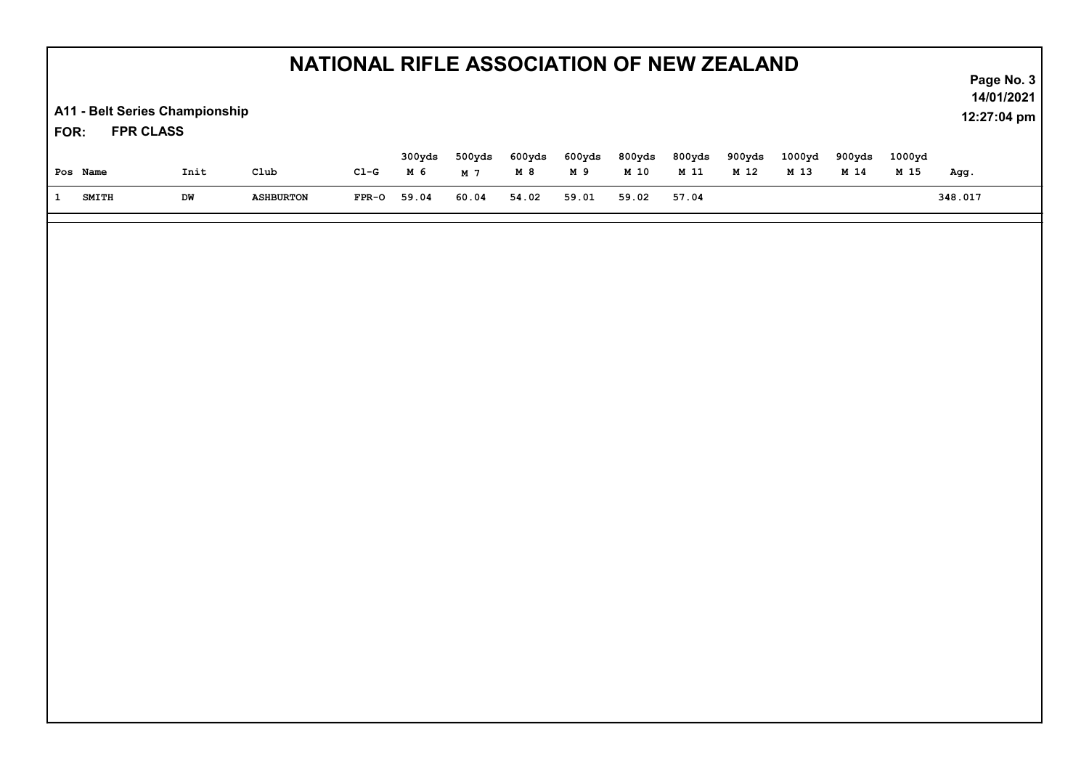| NATIONAL RIFLE ASSOCIATION OF NEW ZEALAND                  |              |      |                    |         |               |                          |              |               |                           |                |                |                | Page No. 3     |                           |         |
|------------------------------------------------------------|--------------|------|--------------------|---------|---------------|--------------------------|--------------|---------------|---------------------------|----------------|----------------|----------------|----------------|---------------------------|---------|
| A11 - Belt Series Championship<br><b>FPR CLASS</b><br>FOR: |              |      |                    |         |               |                          |              |               |                           |                |                |                |                | 14/01/2021<br>12:27:04 pm |         |
|                                                            | Pos Name     | Init | $_{\texttt{Club}}$ | $CL-G$  | 300yds<br>M 6 | 500yds<br>M <sub>7</sub> | 600yds<br>M8 | 600yds<br>M 9 | 800yds<br>M <sub>10</sub> | 800yds<br>M 11 | 900yds<br>M 12 | 1000yd<br>M 13 | 900yds<br>M 14 | 1000yd<br>M 15            | Agg.    |
| $\mathbf{1}$                                               | <b>SMITH</b> | DW   | <b>ASHBURTON</b>   | $FPR-0$ | 59.04         | 60.04                    | 54.02        | 59.01         | 59.02                     | 57.04          |                |                |                |                           | 348.017 |
|                                                            |              |      |                    |         |               |                          |              |               |                           |                |                |                |                |                           |         |
|                                                            |              |      |                    |         |               |                          |              |               |                           |                |                |                |                |                           |         |
|                                                            |              |      |                    |         |               |                          |              |               |                           |                |                |                |                |                           |         |
|                                                            |              |      |                    |         |               |                          |              |               |                           |                |                |                |                |                           |         |
|                                                            |              |      |                    |         |               |                          |              |               |                           |                |                |                |                |                           |         |
|                                                            |              |      |                    |         |               |                          |              |               |                           |                |                |                |                |                           |         |
|                                                            |              |      |                    |         |               |                          |              |               |                           |                |                |                |                |                           |         |
|                                                            |              |      |                    |         |               |                          |              |               |                           |                |                |                |                |                           |         |
|                                                            |              |      |                    |         |               |                          |              |               |                           |                |                |                |                |                           |         |
|                                                            |              |      |                    |         |               |                          |              |               |                           |                |                |                |                |                           |         |
|                                                            |              |      |                    |         |               |                          |              |               |                           |                |                |                |                |                           |         |
|                                                            |              |      |                    |         |               |                          |              |               |                           |                |                |                |                |                           |         |
|                                                            |              |      |                    |         |               |                          |              |               |                           |                |                |                |                |                           |         |
|                                                            |              |      |                    |         |               |                          |              |               |                           |                |                |                |                |                           |         |
|                                                            |              |      |                    |         |               |                          |              |               |                           |                |                |                |                |                           |         |
|                                                            |              |      |                    |         |               |                          |              |               |                           |                |                |                |                |                           |         |